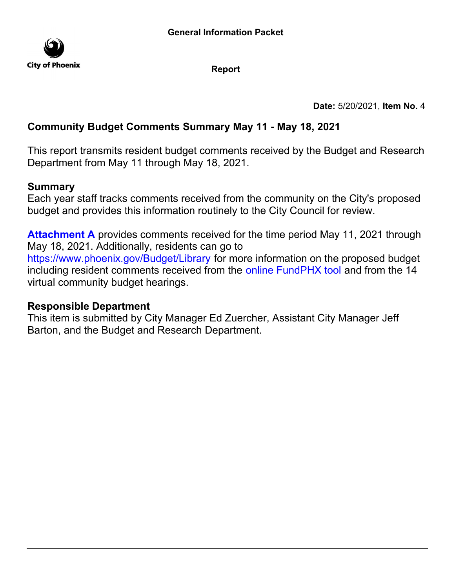

Report

Date: 5/20/2021, Item No. 4

# Community Budget Comments Summary May 11 - May 18, 2021

This report transmits resident budget comments received by the Budget and Research Department from May 11 through May 18, 2021.

## Summary

Each year staff tracks comments received from the community on the City's proposed [budget and provides th](#page-2-0)is information routinely to the City Council for review.

**Attachment A** provides comments received for the time period May 11, 2021 through [May 18, 2021. Additionally, residents can](https://www.phoenix.gov/Budget/Library) go to https://www.phoenix.gov/Budget/Library for more information on the proposed budget including resident comments received from the [online FundPHX tool](https://www.phoenix.gov/budget/fund) and from the 14 virtual community budget hearings.

## Responsible Department

This item is submitted by City Manager Ed Zuercher, Assistant City Manager Jeff Barton, and the Budget and Research Department.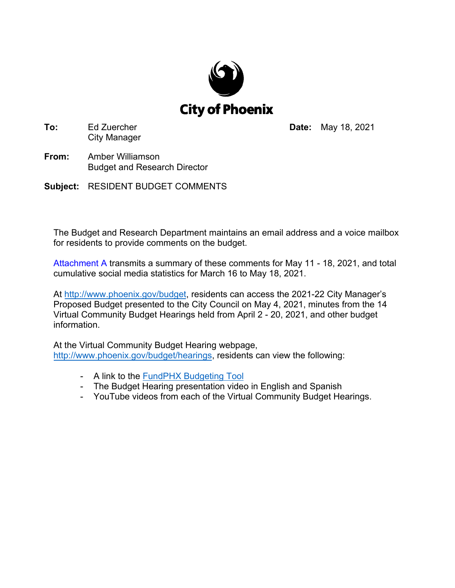

**To:** Ed Zuercher City Manager **Date:** May 18, 2021

- **From:** Amber Williamson Budget and Research Director
- **Subject:** RESIDENT BUDGET COMMENTS

The Budget and Research Department maintains an email address and a voice mailbox for residents to provide comments on the budget.

[Attachment A transmits a summary of these](#page-2-0) comments for May 11 - 18, 2021, and total cumulative social media statistics for March 16 to May 18, 2021.

At http://www.phoenix.gov/budget, residents can access the 2021-22 City Manager's Proposed Budget presented to the City Council on May 4, 2021, minutes from the 14 Virtual Community Budget Hearings held from April 2 - 20, 2021, and other budget information.

At the Virtual Community Budget Hearing webpage, http://www.phoenix.gov/budget/hearings, residents can view the following:

- A link to the **FundPHX Budgeting Tool**
- The Budget Hearing presentation video in English and Spanish
- YouTube videos from each of the Virtual Community Budget Hearings.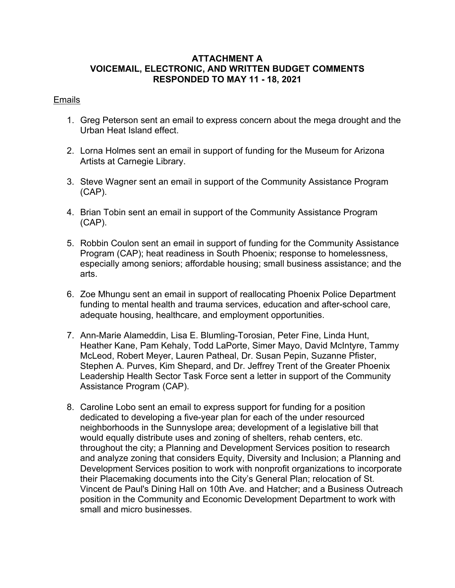#### <span id="page-2-0"></span>**ATTACHMENT A VOICEMAIL, ELECTRONIC, AND WRITTEN BUDGET COMMENTS RESPONDED TO MAY 11 - 18, 2021**

#### Emails

- 1. Greg Peterson sent an email to express concern about the mega drought and the Urban Heat Island effect.
- 2. Lorna Holmes sent an email in support of funding for the Museum for Arizona Artists at Carnegie Library.
- 3. Steve Wagner sent an email in support of the Community Assistance Program (CAP).
- 4. Brian Tobin sent an email in support of the Community Assistance Program (CAP).
- 5. Robbin Coulon sent an email in support of funding for the Community Assistance Program (CAP); heat readiness in South Phoenix; response to homelessness, especially among seniors; affordable housing; small business assistance; and the arts.
- 6. Zoe Mhungu sent an email in support of reallocating Phoenix Police Department funding to mental health and trauma services, education and after-school care, adequate housing, healthcare, and employment opportunities.
- 7. Ann-Marie Alameddin, Lisa E. Blumling-Torosian, Peter Fine, Linda Hunt, Heather Kane, Pam Kehaly, Todd LaPorte, Simer Mayo, David McIntyre, Tammy McLeod, Robert Meyer, Lauren Patheal, Dr. Susan Pepin, Suzanne Pfister, Stephen A. Purves, Kim Shepard, and Dr. Jeffrey Trent of the Greater Phoenix Leadership Health Sector Task Force sent a letter in support of the Community Assistance Program (CAP).
- 8. Caroline Lobo sent an email to express support for funding for a position dedicated to developing a five-year plan for each of the under resourced neighborhoods in the Sunnyslope area; development of a legislative bill that would equally distribute uses and zoning of shelters, rehab centers, etc. throughout the city; a Planning and Development Services position to research and analyze zoning that considers Equity, Diversity and Inclusion; a Planning and Development Services position to work with nonprofit organizations to incorporate their Placemaking documents into the City's General Plan; relocation of St. Vincent de Paul's Dining Hall on 10th Ave. and Hatcher; and a Business Outreach position in the Community and Economic Development Department to work with small and micro businesses.